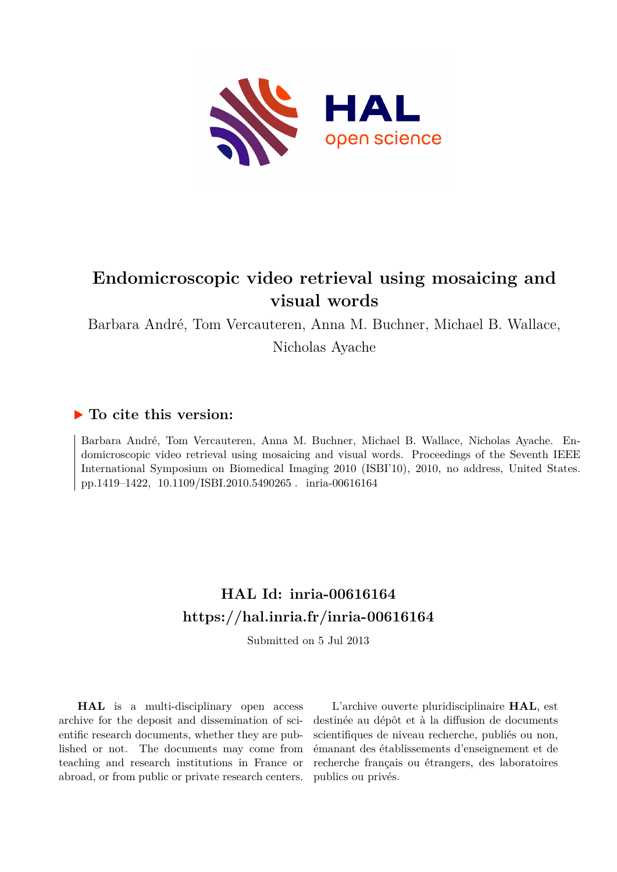

# **Endomicroscopic video retrieval using mosaicing and visual words**

Barbara André, Tom Vercauteren, Anna M. Buchner, Michael B. Wallace, Nicholas Ayache

# **To cite this version:**

Barbara André, Tom Vercauteren, Anna M. Buchner, Michael B. Wallace, Nicholas Ayache. Endomicroscopic video retrieval using mosaicing and visual words. Proceedings of the Seventh IEEE International Symposium on Biomedical Imaging 2010 (ISBI'10), 2010, no address, United States. pp.1419–1422, 10.1109/ISBI.2010.5490265. inria-00616164

# **HAL Id: inria-00616164 <https://hal.inria.fr/inria-00616164>**

Submitted on 5 Jul 2013

**HAL** is a multi-disciplinary open access archive for the deposit and dissemination of scientific research documents, whether they are published or not. The documents may come from teaching and research institutions in France or abroad, or from public or private research centers.

L'archive ouverte pluridisciplinaire **HAL**, est destinée au dépôt et à la diffusion de documents scientifiques de niveau recherche, publiés ou non, émanant des établissements d'enseignement et de recherche français ou étrangers, des laboratoires publics ou privés.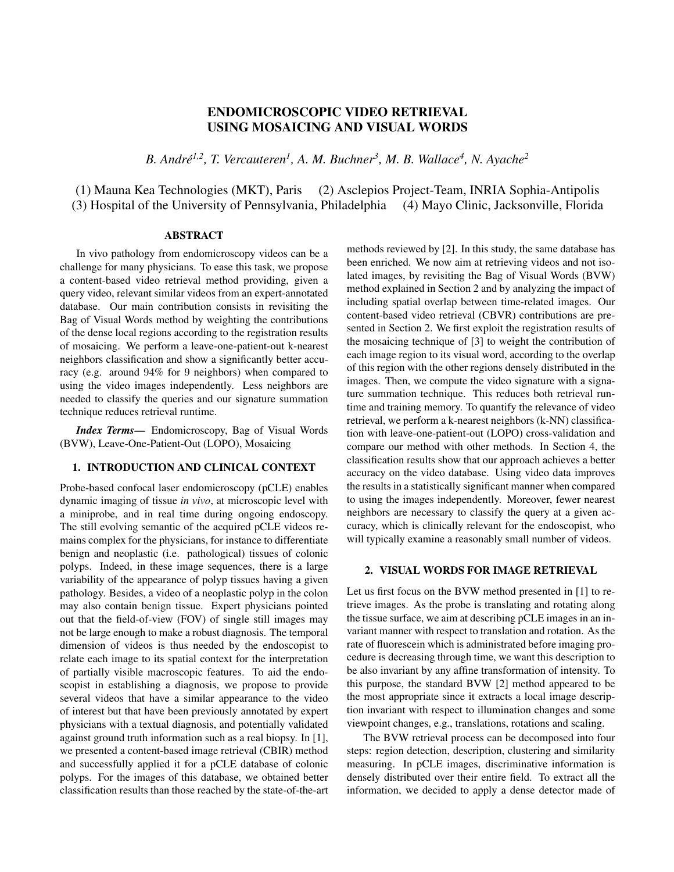# ENDOMICROSCOPIC VIDEO RETRIEVAL USING MOSAICING AND VISUAL WORDS

*B. André1,2, T. Vercauteren<sup>1</sup> , A. M. Buchner<sup>3</sup> , M. B. Wallace<sup>4</sup> , N. Ayache<sup>2</sup>*

(1) Mauna Kea Technologies (MKT), Paris (2) Asclepios Project-Team, INRIA Sophia-Antipolis (3) Hospital of the University of Pennsylvania, Philadelphia (4) Mayo Clinic, Jacksonville, Florida

## ABSTRACT

In vivo pathology from endomicroscopy videos can be a challenge for many physicians. To ease this task, we propose a content-based video retrieval method providing, given a query video, relevant similar videos from an expert-annotated database. Our main contribution consists in revisiting the Bag of Visual Words method by weighting the contributions of the dense local regions according to the registration results of mosaicing. We perform a leave-one-patient-out k-nearest neighbors classification and show a significantly better accuracy (e.g. around 94% for 9 neighbors) when compared to using the video images independently. Less neighbors are needed to classify the queries and our signature summation technique reduces retrieval runtime.

*Index Terms*— Endomicroscopy, Bag of Visual Words (BVW), Leave-One-Patient-Out (LOPO), Mosaicing

#### 1. INTRODUCTION AND CLINICAL CONTEXT

Probe-based confocal laser endomicroscopy (pCLE) enables dynamic imaging of tissue *in vivo*, at microscopic level with a miniprobe, and in real time during ongoing endoscopy. The still evolving semantic of the acquired pCLE videos remains complex for the physicians, for instance to differentiate benign and neoplastic (i.e. pathological) tissues of colonic polyps. Indeed, in these image sequences, there is a large variability of the appearance of polyp tissues having a given pathology. Besides, a video of a neoplastic polyp in the colon may also contain benign tissue. Expert physicians pointed out that the field-of-view (FOV) of single still images may not be large enough to make a robust diagnosis. The temporal dimension of videos is thus needed by the endoscopist to relate each image to its spatial context for the interpretation of partially visible macroscopic features. To aid the endoscopist in establishing a diagnosis, we propose to provide several videos that have a similar appearance to the video of interest but that have been previously annotated by expert physicians with a textual diagnosis, and potentially validated against ground truth information such as a real biopsy. In [1], we presented a content-based image retrieval (CBIR) method and successfully applied it for a pCLE database of colonic polyps. For the images of this database, we obtained better classification results than those reached by the state-of-the-art methods reviewed by [2]. In this study, the same database has been enriched. We now aim at retrieving videos and not isolated images, by revisiting the Bag of Visual Words (BVW) method explained in Section 2 and by analyzing the impact of including spatial overlap between time-related images. Our content-based video retrieval (CBVR) contributions are presented in Section 2. We first exploit the registration results of the mosaicing technique of [3] to weight the contribution of each image region to its visual word, according to the overlap of this region with the other regions densely distributed in the images. Then, we compute the video signature with a signature summation technique. This reduces both retrieval runtime and training memory. To quantify the relevance of video retrieval, we perform a k-nearest neighbors (k-NN) classification with leave-one-patient-out (LOPO) cross-validation and compare our method with other methods. In Section 4, the classification results show that our approach achieves a better accuracy on the video database. Using video data improves the results in a statistically significant manner when compared to using the images independently. Moreover, fewer nearest neighbors are necessary to classify the query at a given accuracy, which is clinically relevant for the endoscopist, who will typically examine a reasonably small number of videos.

### 2. VISUAL WORDS FOR IMAGE RETRIEVAL

Let us first focus on the BVW method presented in [1] to retrieve images. As the probe is translating and rotating along the tissue surface, we aim at describing pCLE images in an invariant manner with respect to translation and rotation. As the rate of fluorescein which is administrated before imaging procedure is decreasing through time, we want this description to be also invariant by any affine transformation of intensity. To this purpose, the standard BVW [2] method appeared to be the most appropriate since it extracts a local image description invariant with respect to illumination changes and some viewpoint changes, e.g., translations, rotations and scaling.

The BVW retrieval process can be decomposed into four steps: region detection, description, clustering and similarity measuring. In pCLE images, discriminative information is densely distributed over their entire field. To extract all the information, we decided to apply a dense detector made of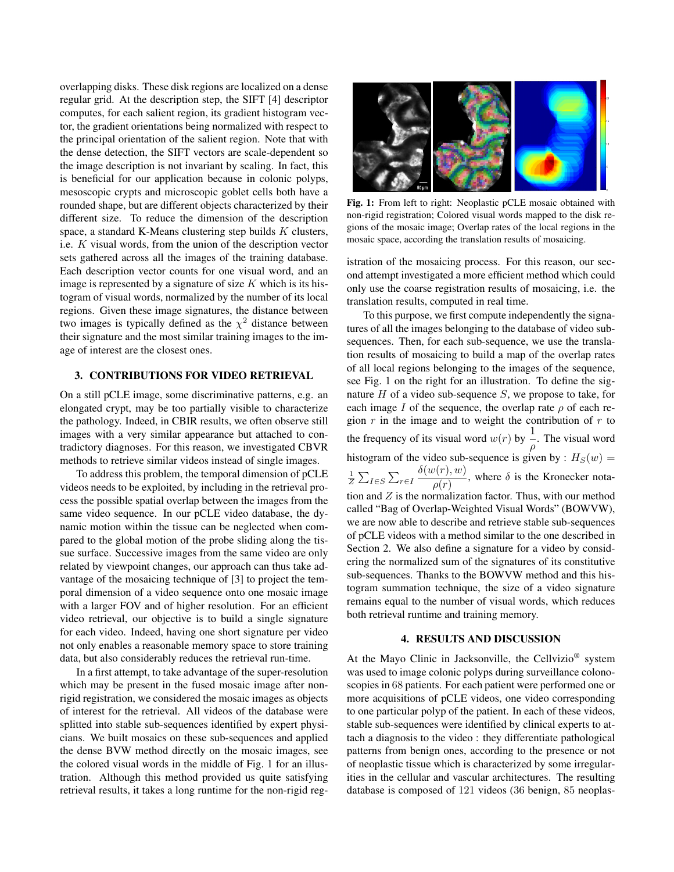overlapping disks. These disk regions are localized on a dense regular grid. At the description step, the SIFT [4] descriptor computes, for each salient region, its gradient histogram vector, the gradient orientations being normalized with respect to the principal orientation of the salient region. Note that with the dense detection, the SIFT vectors are scale-dependent so the image description is not invariant by scaling. In fact, this is beneficial for our application because in colonic polyps, mesoscopic crypts and microscopic goblet cells both have a rounded shape, but are different objects characterized by their different size. To reduce the dimension of the description space, a standard K-Means clustering step builds  $K$  clusters, i.e. K visual words, from the union of the description vector sets gathered across all the images of the training database. Each description vector counts for one visual word, and an image is represented by a signature of size  $K$  which is its histogram of visual words, normalized by the number of its local regions. Given these image signatures, the distance between two images is typically defined as the  $\chi^2$  distance between their signature and the most similar training images to the image of interest are the closest ones.

### 3. CONTRIBUTIONS FOR VIDEO RETRIEVAL

On a still pCLE image, some discriminative patterns, e.g. an elongated crypt, may be too partially visible to characterize the pathology. Indeed, in CBIR results, we often observe still images with a very similar appearance but attached to contradictory diagnoses. For this reason, we investigated CBVR methods to retrieve similar videos instead of single images.

To address this problem, the temporal dimension of pCLE videos needs to be exploited, by including in the retrieval process the possible spatial overlap between the images from the same video sequence. In our pCLE video database, the dynamic motion within the tissue can be neglected when compared to the global motion of the probe sliding along the tissue surface. Successive images from the same video are only related by viewpoint changes, our approach can thus take advantage of the mosaicing technique of [3] to project the temporal dimension of a video sequence onto one mosaic image with a larger FOV and of higher resolution. For an efficient video retrieval, our objective is to build a single signature for each video. Indeed, having one short signature per video not only enables a reasonable memory space to store training data, but also considerably reduces the retrieval run-time.

In a first attempt, to take advantage of the super-resolution which may be present in the fused mosaic image after nonrigid registration, we considered the mosaic images as objects of interest for the retrieval. All videos of the database were splitted into stable sub-sequences identified by expert physicians. We built mosaics on these sub-sequences and applied the dense BVW method directly on the mosaic images, see the colored visual words in the middle of Fig. 1 for an illustration. Although this method provided us quite satisfying retrieval results, it takes a long runtime for the non-rigid reg-



Fig. 1: From left to right: Neoplastic pCLE mosaic obtained with non-rigid registration; Colored visual words mapped to the disk regions of the mosaic image; Overlap rates of the local regions in the mosaic space, according the translation results of mosaicing.

istration of the mosaicing process. For this reason, our second attempt investigated a more efficient method which could only use the coarse registration results of mosaicing, i.e. the translation results, computed in real time.

To this purpose, we first compute independently the signatures of all the images belonging to the database of video subsequences. Then, for each sub-sequence, we use the translation results of mosaicing to build a map of the overlap rates of all local regions belonging to the images of the sequence, see Fig. 1 on the right for an illustration. To define the signature  $H$  of a video sub-sequence  $S$ , we propose to take, for each image I of the sequence, the overlap rate  $\rho$  of each region  $r$  in the image and to weight the contribution of  $r$  to the frequency of its visual word  $w(r)$  by  $\frac{1}{\rho}$ . The visual word histogram of the video sub-sequence is given by :  $H_S(w) =$  $\frac{1}{Z} \sum_{I \in S} \sum_{r \in I}$  $\delta(w(r),w)$  $\frac{\partial \overline{\langle r, r \rangle}}{\partial \rho(r)}$ , where  $\delta$  is the Kronecker notation and  $Z$  is the normalization factor. Thus, with our method called "Bag of Overlap-Weighted Visual Words" (BOWVW), we are now able to describe and retrieve stable sub-sequences of pCLE videos with a method similar to the one described in Section 2. We also define a signature for a video by considering the normalized sum of the signatures of its constitutive sub-sequences. Thanks to the BOWVW method and this histogram summation technique, the size of a video signature remains equal to the number of visual words, which reduces both retrieval runtime and training memory.

#### 4. RESULTS AND DISCUSSION

At the Mayo Clinic in Jacksonville, the Cellvizio® system was used to image colonic polyps during surveillance colonoscopies in 68 patients. For each patient were performed one or more acquisitions of pCLE videos, one video corresponding to one particular polyp of the patient. In each of these videos, stable sub-sequences were identified by clinical experts to attach a diagnosis to the video : they differentiate pathological patterns from benign ones, according to the presence or not of neoplastic tissue which is characterized by some irregularities in the cellular and vascular architectures. The resulting database is composed of 121 videos (36 benign, 85 neoplas-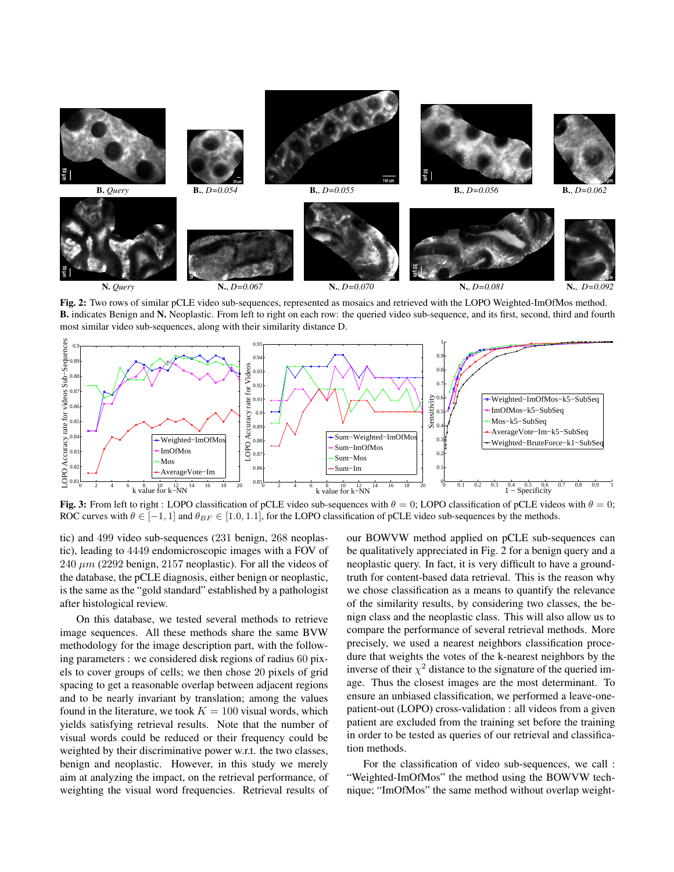

Fig. 2: Two rows of similar pCLE video sub-sequences, represented as mosaics and retrieved with the LOPO Weighted-ImOfMos method. B. indicates Benign and N. Neoplastic. From left to right on each row: the queried video sub-sequence, and its first, second, third and fourth most similar video sub-sequences, along with their similarity distance D.



Fig. 3: From left to right : LOPO classification of pCLE video sub-sequences with  $\theta = 0$ ; LOPO classification of pCLE videos with  $\theta = 0$ ; ROC curves with  $\theta \in [-1, 1]$  and  $\theta_{BF} \in [1.0, 1.1]$ , for the LOPO classification of pCLE video sub-sequences by the methods.

tic) and 499 video sub-sequences (231 benign, 268 neoplastic), leading to 4449 endomicroscopic images with a FOV of 240  $\mu$ m (2292 benign, 2157 neoplastic). For all the videos of the database, the pCLE diagnosis, either benign or neoplastic, is the same as the "gold standard" established by a pathologist after histological review.

On this database, we tested several methods to retrieve image sequences. All these methods share the same BVW methodology for the image description part, with the following parameters : we considered disk regions of radius 60 pixels to cover groups of cells; we then chose 20 pixels of grid spacing to get a reasonable overlap between adjacent regions and to be nearly invariant by translation; among the values found in the literature, we took  $K = 100$  visual words, which yields satisfying retrieval results. Note that the number of visual words could be reduced or their frequency could be weighted by their discriminative power w.r.t. the two classes, benign and neoplastic. However, in this study we merely aim at analyzing the impact, on the retrieval performance, of weighting the visual word frequencies. Retrieval results of our BOWVW method applied on pCLE sub-sequences can be qualitatively appreciated in Fig. 2 for a benign query and a neoplastic query. In fact, it is very difficult to have a groundtruth for content-based data retrieval. This is the reason why we chose classification as a means to quantify the relevance of the similarity results, by considering two classes, the benign class and the neoplastic class. This will also allow us to compare the performance of several retrieval methods. More precisely, we used a nearest neighbors classification procedure that weights the votes of the k-nearest neighbors by the inverse of their  $\chi^2$  distance to the signature of the queried image. Thus the closest images are the most determinant. To ensure an unbiased classification, we performed a leave-onepatient-out (LOPO) cross-validation : all videos from a given patient are excluded from the training set before the training in order to be tested as queries of our retrieval and classification methods.

For the classification of video sub-sequences, we call : "Weighted-ImOfMos" the method using the BOWVW technique; "ImOfMos" the same method without overlap weight